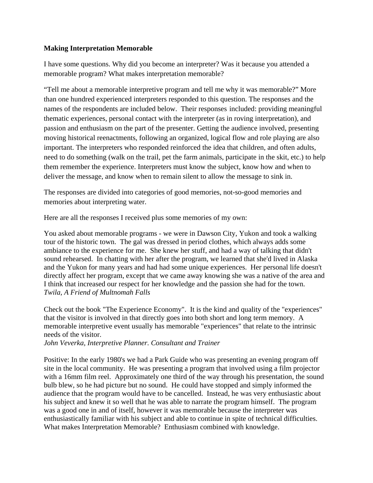# **Making Interpretation Memorable**

I have some questions. Why did you become an interpreter? Was it because you attended a memorable program? What makes interpretation memorable?

"Tell me about a memorable interpretive program and tell me why it was memorable?" More than one hundred experienced interpreters responded to this question. The responses and the names of the respondents are included below. Their responses included: providing meaningful thematic experiences, personal contact with the interpreter (as in roving interpretation), and passion and enthusiasm on the part of the presenter. Getting the audience involved, presenting moving historical reenactments, following an organized, logical flow and role playing are also important. The interpreters who responded reinforced the idea that children, and often adults, need to do something (walk on the trail, pet the farm animals, participate in the skit, etc.) to help them remember the experience. Interpreters must know the subject, know how and when to deliver the message, and know when to remain silent to allow the message to sink in.

The responses are divided into categories of good memories, not-so-good memories and memories about interpreting water.

Here are all the responses I received plus some memories of my own:

You asked about memorable programs - we were in Dawson City, Yukon and took a walking tour of the historic town. The gal was dressed in period clothes, which always adds some ambiance to the experience for me. She knew her stuff, and had a way of talking that didn't sound rehearsed. In chatting with her after the program, we learned that she'd lived in Alaska and the Yukon for many years and had had some unique experiences. Her personal life doesn't directly affect her program, except that we came away knowing she was a native of the area and I think that increased our respect for her knowledge and the passion she had for the town. *Twila, A Friend of Multnomah Falls* 

Check out the book "The Experience Economy". It is the kind and quality of the "experiences" that the visitor is involved in that directly goes into both short and long term memory. A memorable interpretive event usually has memorable "experiences" that relate to the intrinsic needs of the visitor.

*John Veverka, Interpretive Planner. Consultant and Trainer* 

Positive: In the early 1980's we had a Park Guide who was presenting an evening program off site in the local community. He was presenting a program that involved using a film projector with a 16mm film reel. Approximately one third of the way through his presentation, the sound bulb blew, so he had picture but no sound. He could have stopped and simply informed the audience that the program would have to be cancelled. Instead, he was very enthusiastic about his subject and knew it so well that he was able to narrate the program himself. The program was a good one in and of itself, however it was memorable because the interpreter was enthusiastically familiar with his subject and able to continue in spite of technical difficulties. What makes Interpretation Memorable? Enthusiasm combined with knowledge.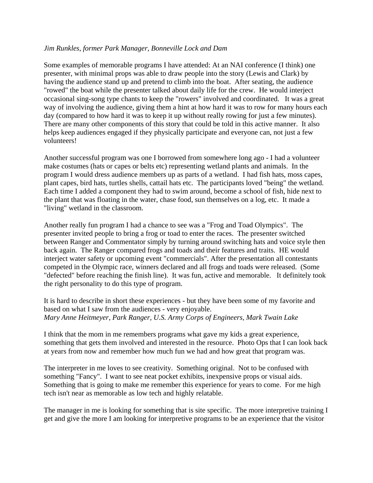### *Jim Runkles, former Park Manager, Bonneville Lock and Dam*

Some examples of memorable programs I have attended: At an NAI conference (I think) one presenter, with minimal props was able to draw people into the story (Lewis and Clark) by having the audience stand up and pretend to climb into the boat. After seating, the audience "rowed" the boat while the presenter talked about daily life for the crew. He would interject occasional sing-song type chants to keep the "rowers" involved and coordinated. It was a great way of involving the audience, giving them a hint at how hard it was to row for many hours each day (compared to how hard it was to keep it up without really rowing for just a few minutes). There are many other components of this story that could be told in this active manner. It also helps keep audiences engaged if they physically participate and everyone can, not just a few volunteers!

Another successful program was one I borrowed from somewhere long ago - I had a volunteer make costumes (hats or capes or belts etc) representing wetland plants and animals. In the program I would dress audience members up as parts of a wetland. I had fish hats, moss capes, plant capes, bird hats, turtles shells, cattail hats etc. The participants loved "being" the wetland. Each time I added a component they had to swim around, become a school of fish, hide next to the plant that was floating in the water, chase food, sun themselves on a log, etc. It made a "living" wetland in the classroom.

Another really fun program I had a chance to see was a "Frog and Toad Olympics". The presenter invited people to bring a frog or toad to enter the races. The presenter switched between Ranger and Commentator simply by turning around switching hats and voice style then back again. The Ranger compared frogs and toads and their features and traits. HE would interject water safety or upcoming event "commercials". After the presentation all contestants competed in the Olympic race, winners declared and all frogs and toads were released. (Some "defected" before reaching the finish line). It was fun, active and memorable. It definitely took the right personality to do this type of program.

It is hard to describe in short these experiences - but they have been some of my favorite and based on what I saw from the audiences - very enjoyable. *Mary Anne Heitmeyer, Park Ranger, U.S. Army Corps of Engineers, Mark Twain Lake* 

I think that the mom in me remembers programs what gave my kids a great experience, something that gets them involved and interested in the resource. Photo Ops that I can look back at years from now and remember how much fun we had and how great that program was.

The interpreter in me loves to see creativity. Something original. Not to be confused with something "Fancy". I want to see neat pocket exhibits, inexpensive props or visual aids. Something that is going to make me remember this experience for years to come. For me high tech isn't near as memorable as low tech and highly relatable.

The manager in me is looking for something that is site specific. The more interpretive training I get and give the more I am looking for interpretive programs to be an experience that the visitor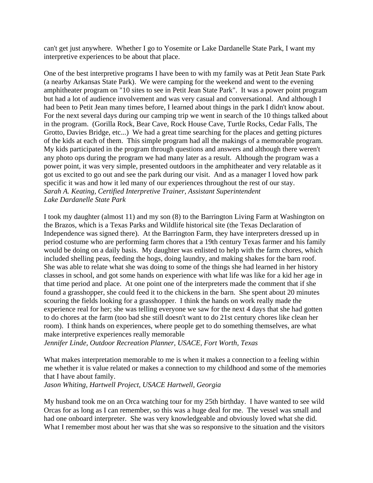can't get just anywhere. Whether I go to Yosemite or Lake Dardanelle State Park, I want my interpretive experiences to be about that place.

One of the best interpretive programs I have been to with my family was at Petit Jean State Park (a nearby Arkansas State Park). We were camping for the weekend and went to the evening amphitheater program on "10 sites to see in Petit Jean State Park". It was a power point program but had a lot of audience involvement and was very casual and conversational. And although I had been to Petit Jean many times before, I learned about things in the park I didn't know about. For the next several days during our camping trip we went in search of the 10 things talked about in the program. (Gorilla Rock, Bear Cave, Rock House Cave, Turtle Rocks, Cedar Falls, The Grotto, Davies Bridge, etc...) We had a great time searching for the places and getting pictures of the kids at each of them. This simple program had all the makings of a memorable program. My kids participated in the program through questions and answers and although there weren't any photo ops during the program we had many later as a result. Although the program was a power point, it was very simple, presented outdoors in the amphitheater and very relatable as it got us excited to go out and see the park during our visit. And as a manager I loved how park specific it was and how it led many of our experiences throughout the rest of our stay. *Sarah A. Keating, Certified Interpretive Trainer, Assistant Superintendent Lake Dardanelle State Park* 

I took my daughter (almost 11) and my son (8) to the Barrington Living Farm at Washington on the Brazos, which is a Texas Parks and Wildlife historical site (the Texas Declaration of Independence was signed there). At the Barrington Farm, they have interpreters dressed up in period costume who are performing farm chores that a 19th century Texas farmer and his family would be doing on a daily basis. My daughter was enlisted to help with the farm chores, which included shelling peas, feeding the hogs, doing laundry, and making shakes for the barn roof. She was able to relate what she was doing to some of the things she had learned in her history classes in school, and got some hands on experience with what life was like for a kid her age in that time period and place. At one point one of the interpreters made the comment that if she found a grasshopper, she could feed it to the chickens in the barn. She spent about 20 minutes scouring the fields looking for a grasshopper. I think the hands on work really made the experience real for her; she was telling everyone we saw for the next 4 days that she had gotten to do chores at the farm (too bad she still doesn't want to do 21st century chores like clean her room). I think hands on experiences, where people get to do something themselves, are what make interpretive experiences really memorable

*Jennifer Linde, Outdoor Recreation Planner, USACE, Fort Worth, Texas* 

What makes interpretation memorable to me is when it makes a connection to a feeling within me whether it is value related or makes a connection to my childhood and some of the memories that I have about family.

*Jason Whiting, Hartwell Project, USACE Hartwell, Georgia* 

My husband took me on an Orca watching tour for my 25th birthday. I have wanted to see wild Orcas for as long as I can remember, so this was a huge deal for me. The vessel was small and had one onboard interpreter. She was very knowledgeable and obviously loved what she did. What I remember most about her was that she was so responsive to the situation and the visitors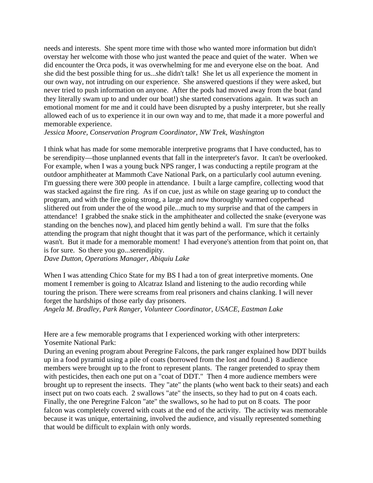needs and interests. She spent more time with those who wanted more information but didn't overstay her welcome with those who just wanted the peace and quiet of the water. When we did encounter the Orca pods, it was overwhelming for me and everyone else on the boat. And she did the best possible thing for us...she didn't talk! She let us all experience the moment in our own way, not intruding on our experience. She answered questions if they were asked, but never tried to push information on anyone. After the pods had moved away from the boat (and they literally swam up to and under our boat!) she started conservations again. It was such an emotional moment for me and it could have been disrupted by a pushy interpreter, but she really allowed each of us to experience it in our own way and to me, that made it a more powerful and memorable experience.

*Jessica Moore, Conservation Program Coordinator, NW Trek, Washington* 

I think what has made for some memorable interpretive programs that I have conducted, has to be serendipity—those unplanned events that fall in the interpreter's favor. It can't be overlooked. For example, when I was a young buck NPS ranger, I was conducting a reptile program at the outdoor amphitheater at Mammoth Cave National Park, on a particularly cool autumn evening. I'm guessing there were 300 people in attendance. I built a large campfire, collecting wood that was stacked against the fire ring. As if on cue, just as while on stage gearing up to conduct the program, and with the fire going strong, a large and now thoroughly warmed copperhead slithered out from under the of the wood pile...much to my surprise and that of the campers in attendance! I grabbed the snake stick in the amphitheater and collected the snake (everyone was standing on the benches now), and placed him gently behind a wall. I'm sure that the folks attending the program that night thought that it was part of the performance, which it certainly wasn't. But it made for a memorable moment! I had everyone's attention from that point on, that is for sure. So there you go...serendipity.

*Dave Dutton, Operations Manager, Abiquiu Lake* 

When I was attending Chico State for my BS I had a ton of great interpretive moments. One moment I remember is going to Alcatraz Island and listening to the audio recording while touring the prison. There were screams from real prisoners and chains clanking. I will never forget the hardships of those early day prisoners.

*Angela M. Bradley, Park Ranger, Volunteer Coordinator, USACE, Eastman Lake* 

Here are a few memorable programs that I experienced working with other interpreters: Yosemite National Park:

During an evening program about Peregrine Falcons, the park ranger explained how DDT builds up in a food pyramid using a pile of coats (borrowed from the lost and found.) 8 audience members were brought up to the front to represent plants. The ranger pretended to spray them with pesticides, then each one put on a "coat of DDT." Then 4 more audience members were brought up to represent the insects. They "ate" the plants (who went back to their seats) and each insect put on two coats each. 2 swallows "ate" the insects, so they had to put on 4 coats each. Finally, the one Peregrine Falcon "ate" the swallows, so he had to put on 8 coats. The poor falcon was completely covered with coats at the end of the activity. The activity was memorable because it was unique, entertaining, involved the audience, and visually represented something that would be difficult to explain with only words.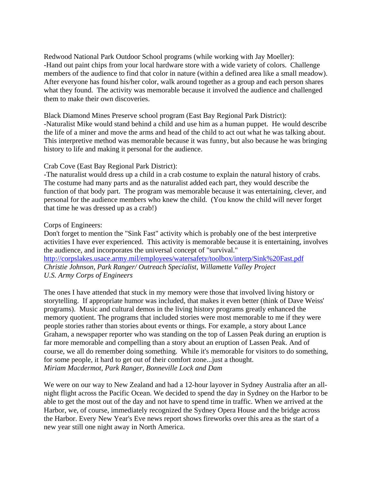Redwood National Park Outdoor School programs (while working with Jay Moeller): -Hand out paint chips from your local hardware store with a wide variety of colors. Challenge members of the audience to find that color in nature (within a defined area like a small meadow). After everyone has found his/her color, walk around together as a group and each person shares what they found. The activity was memorable because it involved the audience and challenged them to make their own discoveries.

Black Diamond Mines Preserve school program (East Bay Regional Park District): -Naturalist Mike would stand behind a child and use him as a human puppet. He would describe the life of a miner and move the arms and head of the child to act out what he was talking about. This interpretive method was memorable because it was funny, but also because he was bringing history to life and making it personal for the audience.

### Crab Cove (East Bay Regional Park District):

-The naturalist would dress up a child in a crab costume to explain the natural history of crabs. The costume had many parts and as the naturalist added each part, they would describe the function of that body part. The program was memorable because it was entertaining, clever, and personal for the audience members who knew the child. (You know the child will never forget that time he was dressed up as a crab!)

# Corps of Engineers:

Don't forget to mention the "Sink Fast" activity which is probably one of the best interpretive activities I have ever experienced. This activity is memorable because it is entertaining, involves the audience, and incorporates the universal concept of "survival." http://corpslakes.usace.army.mil/employees/watersafety/toolbox/interp/Sink%20Fast.pdf *Christie Johnson, Park Ranger/ Outreach Specialist, Willamette Valley Project* 

# *U.S. Army Corps of Engineers*

The ones I have attended that stuck in my memory were those that involved living history or storytelling. If appropriate humor was included, that makes it even better (think of Dave Weiss' programs). Music and cultural demos in the living history programs greatly enhanced the memory quotient. The programs that included stories were most memorable to me if they were people stories rather than stories about events or things. For example, a story about Lance Graham, a newspaper reporter who was standing on the top of Lassen Peak during an eruption is far more memorable and compelling than a story about an eruption of Lassen Peak. And of course, we all do remember doing something. While it's memorable for visitors to do something, for some people, it hard to get out of their comfort zone...just a thought. *Miriam Macdermot, Park Ranger, Bonneville Lock and Dam* 

We were on our way to New Zealand and had a 12-hour layover in Sydney Australia after an allnight flight across the Pacific Ocean. We decided to spend the day in Sydney on the Harbor to be able to get the most out of the day and not have to spend time in traffic. When we arrived at the Harbor, we, of course, immediately recognized the Sydney Opera House and the bridge across the Harbor. Every New Year's Eve news report shows fireworks over this area as the start of a new year still one night away in North America.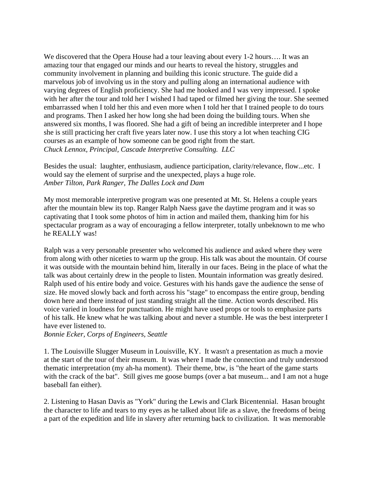We discovered that the Opera House had a tour leaving about every 1-2 hours…. It was an amazing tour that engaged our minds and our hearts to reveal the history, struggles and community involvement in planning and building this iconic structure. The guide did a marvelous job of involving us in the story and pulling along an international audience with varying degrees of English proficiency. She had me hooked and I was very impressed. I spoke with her after the tour and told her I wished I had taped or filmed her giving the tour. She seemed embarrassed when I told her this and even more when I told her that I trained people to do tours and programs. Then I asked her how long she had been doing the building tours. When she answered six months, I was floored. She had a gift of being an incredible interpreter and I hope she is still practicing her craft five years later now. I use this story a lot when teaching CIG courses as an example of how someone can be good right from the start. *Chuck Lennox, Principal, Cascade Interpretive Consulting. LLC* 

Besides the usual: laughter, enthusiasm, audience participation, clarity/relevance, flow...etc. I would say the element of surprise and the unexpected, plays a huge role. *Amber Tilton, Park Ranger, The Dalles Lock and Dam* 

My most memorable interpretive program was one presented at Mt. St. Helens a couple years after the mountain blew its top. Ranger Ralph Naess gave the daytime program and it was so captivating that I took some photos of him in action and mailed them, thanking him for his spectacular program as a way of encouraging a fellow interpreter, totally unbeknown to me who he REALLY was!

Ralph was a very personable presenter who welcomed his audience and asked where they were from along with other niceties to warm up the group. His talk was about the mountain. Of course it was outside with the mountain behind him, literally in our faces. Being in the place of what the talk was about certainly drew in the people to listen. Mountain information was greatly desired. Ralph used of his entire body and voice. Gestures with his hands gave the audience the sense of size. He moved slowly back and forth across his "stage" to encompass the entire group, bending down here and there instead of just standing straight all the time. Action words described. His voice varied in loudness for punctuation. He might have used props or tools to emphasize parts of his talk. He knew what he was talking about and never a stumble. He was the best interpreter I have ever listened to.

*Bonnie Ecker, Corps of Engineers, Seattle* 

1. The Louisville Slugger Museum in Louisville, KY. It wasn't a presentation as much a movie at the start of the tour of their museum. It was where I made the connection and truly understood thematic interpretation (my ah-ha moment). Their theme, btw, is "the heart of the game starts with the crack of the bat". Still gives me goose bumps (over a bat museum... and I am not a huge baseball fan either).

2. Listening to Hasan Davis as "York" during the Lewis and Clark Bicentennial. Hasan brought the character to life and tears to my eyes as he talked about life as a slave, the freedoms of being a part of the expedition and life in slavery after returning back to civilization. It was memorable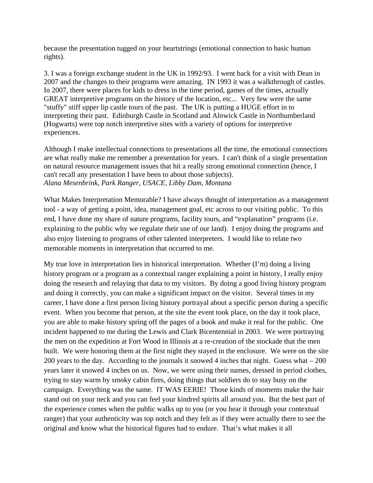because the presentation tugged on your heartstrings (emotional connection to basic human rights).

3. I was a foreign exchange student in the UK in 1992/93. I went back for a visit with Dean in 2007 and the changes to their programs were amazing. IN 1993 it was a walkthrough of castles. In 2007, there were places for kids to dress in the time period, games of the times, actually GREAT interpretive programs on the history of the location, etc... Very few were the same "stuffy" stiff upper lip castle tours of the past. The UK is putting a HUGE effort in to interpreting their past. Edinburgh Castle in Scotland and Alnwick Castle in Northumberland (Hogwarts) were top notch interpretive sites with a variety of options for interpretive experiences.

Although I make intellectual connections to presentations all the time, the emotional connections are what really make me remember a presentation for years. I can't think of a single presentation on natural resource management issues that hit a really strong emotional connection (hence, I can't recall any presentation I have been to about those subjects). *Alana Mesenbrink, Park Ranger, USACE, Libby Dam, Montana* 

What Makes Interpretation Memorable? I have always thought of interpretation as a management tool - a way of getting a point, idea, management goal, etc across to our visiting public. To this end, I have done my share of nature programs, facility tours, and "explanation" programs (i.e. explaining to the public why we regulate their use of our land). I enjoy doing the programs and also enjoy listening to programs of other talented interpreters. I would like to relate two memorable moments in interpretation that occurred to me.

My true love in interpretation lies in historical interpretation. Whether (I'm) doing a living history program or a program as a contextual ranger explaining a point in history, I really enjoy doing the research and relaying that data to my visitors. By doing a good living history program and doing it correctly, you can make a significant impact on the visitor. Several times in my career, I have done a first person living history portrayal about a specific person during a specific event. When you become that person, at the site the event took place, on the day it took place, you are able to make history spring off the pages of a book and make it real for the public. One incident happened to me during the Lewis and Clark Bicentennial in 2003. We were portraying the men on the expedition at Fort Wood in Illinois at a re-creation of the stockade that the men built. We were honoring them at the first night they stayed in the enclosure. We were on the site 200 years to the day. According to the journals it snowed 4 inches that night. Guess what – 200 years later it snowed 4 inches on us. Now, we were using their names, dressed in period clothes, trying to stay warm by smoky cabin fires, doing things that soldiers do to stay busy on the campaign. Everything was the same. IT WAS EERIE! Those kinds of moments make the hair stand out on your neck and you can feel your kindred spirits all around you. But the best part of the experience comes when the public walks up to you (or you hear it through your contextual ranger) that your authenticity was top notch and they felt as if they were actually there to see the original and know what the historical figures had to endure. That's what makes it all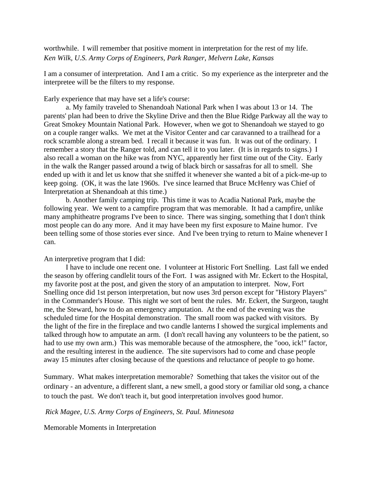worthwhile. I will remember that positive moment in interpretation for the rest of my life. *Ken Wilk, U.S. Army Corps of Engineers, Park Ranger, Melvern Lake, Kansas* 

I am a consumer of interpretation. And I am a critic. So my experience as the interpreter and the interpretee will be the filters to my response.

Early experience that may have set a life's course:

 a. My family traveled to Shenandoah National Park when I was about 13 or 14. The parents' plan had been to drive the Skyline Drive and then the Blue Ridge Parkway all the way to Great Smokey Mountain National Park. However, when we got to Shenandoah we stayed to go on a couple ranger walks. We met at the Visitor Center and car caravanned to a trailhead for a rock scramble along a stream bed. I recall it because it was fun. It was out of the ordinary. I remember a story that the Ranger told, and can tell it to you later. (It is in regards to signs.) I also recall a woman on the hike was from NYC, apparently her first time out of the City. Early in the walk the Ranger passed around a twig of black birch or sassafras for all to smell. She ended up with it and let us know that she sniffed it whenever she wanted a bit of a pick-me-up to keep going. (OK, it was the late 1960s. I've since learned that Bruce McHenry was Chief of Interpretation at Shenandoah at this time.)

 b. Another family camping trip. This time it was to Acadia National Park, maybe the following year. We went to a campfire program that was memorable. It had a campfire, unlike many amphitheatre programs I've been to since. There was singing, something that I don't think most people can do any more. And it may have been my first exposure to Maine humor. I've been telling some of those stories ever since. And I've been trying to return to Maine whenever I can.

### An interpretive program that I did:

 I have to include one recent one. I volunteer at Historic Fort Snelling. Last fall we ended the season by offering candlelit tours of the Fort. I was assigned with Mr. Eckert to the Hospital, my favorite post at the post, and given the story of an amputation to interpret. Now, Fort Snelling once did 1st person interpretation, but now uses 3rd person except for "History Players" in the Commander's House. This night we sort of bent the rules. Mr. Eckert, the Surgeon, taught me, the Steward, how to do an emergency amputation. At the end of the evening was the scheduled time for the Hospital demonstration. The small room was packed with visitors. By the light of the fire in the fireplace and two candle lanterns I showed the surgical implements and talked through how to amputate an arm. (I don't recall having any volunteers to be the patient, so had to use my own arm.) This was memorable because of the atmosphere, the "ooo, ick!" factor, and the resulting interest in the audience. The site supervisors had to come and chase people away 15 minutes after closing because of the questions and reluctance of people to go home.

Summary. What makes interpretation memorable? Something that takes the visitor out of the ordinary - an adventure, a different slant, a new smell, a good story or familiar old song, a chance to touch the past. We don't teach it, but good interpretation involves good humor.

#### *Rick Magee, U.S. Army Corps of Engineers, St. Paul. Minnesota*

Memorable Moments in Interpretation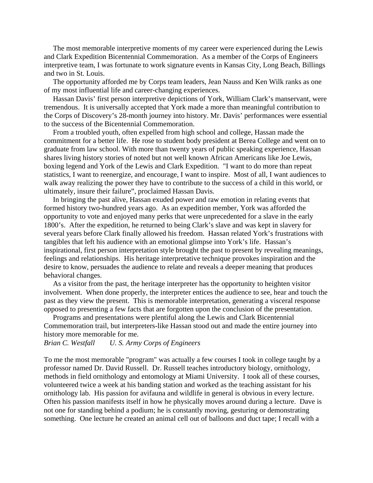The most memorable interpretive moments of my career were experienced during the Lewis and Clark Expedition Bicentennial Commemoration. As a member of the Corps of Engineers interpretive team, I was fortunate to work signature events in Kansas City, Long Beach, Billings and two in St. Louis.

 The opportunity afforded me by Corps team leaders, Jean Nauss and Ken Wilk ranks as one of my most influential life and career-changing experiences.

 Hassan Davis' first person interpretive depictions of York, William Clark's manservant, were tremendous. It is universally accepted that York made a more than meaningful contribution to the Corps of Discovery's 28-month journey into history. Mr. Davis' performances were essential to the success of the Bicentennial Commemoration.

 From a troubled youth, often expelled from high school and college, Hassan made the commitment for a better life. He rose to student body president at Berea College and went on to graduate from law school. With more than twenty years of public speaking experience, Hassan shares living history stories of noted but not well known African Americans like Joe Lewis, boxing legend and York of the Lewis and Clark Expedition. "I want to do more than repeat statistics, I want to reenergize, and encourage, I want to inspire. Most of all, I want audiences to walk away realizing the power they have to contribute to the success of a child in this world, or ultimately, insure their failure", proclaimed Hassan Davis.

 In bringing the past alive, Hassan exuded power and raw emotion in relating events that formed history two-hundred years ago. As an expedition member, York was afforded the opportunity to vote and enjoyed many perks that were unprecedented for a slave in the early 1800's. After the expedition, he returned to being Clark's slave and was kept in slavery for several years before Clark finally allowed his freedom. Hassan related York's frustrations with tangibles that left his audience with an emotional glimpse into York's life. Hassan's inspirational, first person interpretation style brought the past to present by revealing meanings, feelings and relationships. His heritage interpretative technique provokes inspiration and the desire to know, persuades the audience to relate and reveals a deeper meaning that produces behavioral changes.

 As a visitor from the past, the heritage interpreter has the opportunity to heighten visitor involvement. When done properly, the interpreter entices the audience to see, hear and touch the past as they view the present. This is memorable interpretation, generating a visceral response opposed to presenting a few facts that are forgotten upon the conclusion of the presentation.

 Programs and presentations were plentiful along the Lewis and Clark Bicentennial Commemoration trail, but interpreters-like Hassan stood out and made the entire journey into history more memorable for me.

*Brian C. Westfall U. S. Army Corps of Engineers* 

To me the most memorable "program" was actually a few courses I took in college taught by a professor named Dr. David Russell. Dr. Russell teaches introductory biology, ornithology, methods in field ornithology and entomology at Miami University. I took all of these courses, volunteered twice a week at his banding station and worked as the teaching assistant for his ornithology lab. His passion for avifauna and wildlife in general is obvious in every lecture. Often his passion manifests itself in how he physically moves around during a lecture. Dave is not one for standing behind a podium; he is constantly moving, gesturing or demonstrating something. One lecture he created an animal cell out of balloons and duct tape; I recall with a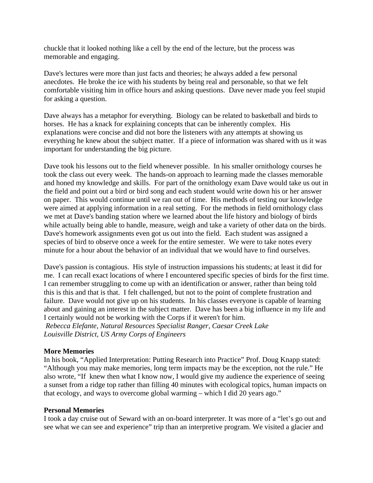chuckle that it looked nothing like a cell by the end of the lecture, but the process was memorable and engaging.

Dave's lectures were more than just facts and theories; he always added a few personal anecdotes. He broke the ice with his students by being real and personable, so that we felt comfortable visiting him in office hours and asking questions. Dave never made you feel stupid for asking a question.

Dave always has a metaphor for everything. Biology can be related to basketball and birds to horses. He has a knack for explaining concepts that can be inherently complex. His explanations were concise and did not bore the listeners with any attempts at showing us everything he knew about the subject matter. If a piece of information was shared with us it was important for understanding the big picture.

Dave took his lessons out to the field whenever possible. In his smaller ornithology courses he took the class out every week. The hands-on approach to learning made the classes memorable and honed my knowledge and skills. For part of the ornithology exam Dave would take us out in the field and point out a bird or bird song and each student would write down his or her answer on paper. This would continue until we ran out of time. His methods of testing our knowledge were aimed at applying information in a real setting. For the methods in field ornithology class we met at Dave's banding station where we learned about the life history and biology of birds while actually being able to handle, measure, weigh and take a variety of other data on the birds. Dave's homework assignments even got us out into the field. Each student was assigned a species of bird to observe once a week for the entire semester. We were to take notes every minute for a hour about the behavior of an individual that we would have to find ourselves.

Dave's passion is contagious. His style of instruction impassions his students; at least it did for me. I can recall exact locations of where I encountered specific species of birds for the first time. I can remember struggling to come up with an identification or answer, rather than being told this is this and that is that. I felt challenged, but not to the point of complete frustration and failure. Dave would not give up on his students. In his classes everyone is capable of learning about and gaining an interest in the subject matter. Dave has been a big influence in my life and I certainly would not be working with the Corps if it weren't for him.

*Rebecca Elefante, Natural Resources Specialist Ranger, Caesar Creek Lake Louisville District, US Army Corps of Engineers* 

### **More Memories**

In his book, "Applied Interpretation: Putting Research into Practice" Prof. Doug Knapp stated: "Although you may make memories, long term impacts may be the exception, not the rule." He also wrote, "If knew then what I know now, I would give my audience the experience of seeing a sunset from a ridge top rather than filling 40 minutes with ecological topics, human impacts on that ecology, and ways to overcome global warming – which I did 20 years ago."

#### **Personal Memories**

I took a day cruise out of Seward with an on-board interpreter. It was more of a "let's go out and see what we can see and experience" trip than an interpretive program. We visited a glacier and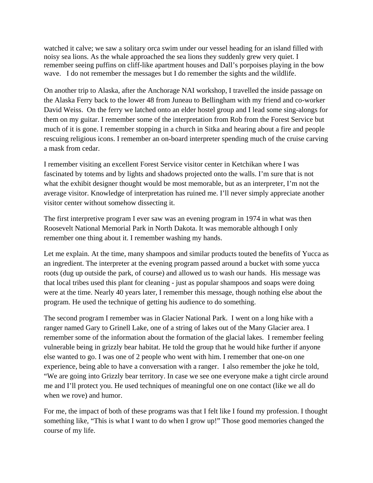watched it calve; we saw a solitary orca swim under our vessel heading for an island filled with noisy sea lions. As the whale approached the sea lions they suddenly grew very quiet. I remember seeing puffins on cliff-like apartment houses and Dall's porpoises playing in the bow wave. I do not remember the messages but I do remember the sights and the wildlife.

On another trip to Alaska, after the Anchorage NAI workshop, I travelled the inside passage on the Alaska Ferry back to the lower 48 from Juneau to Bellingham with my friend and co-worker David Weiss. On the ferry we latched onto an elder hostel group and I lead some sing-alongs for them on my guitar. I remember some of the interpretation from Rob from the Forest Service but much of it is gone. I remember stopping in a church in Sitka and hearing about a fire and people rescuing religious icons. I remember an on-board interpreter spending much of the cruise carving a mask from cedar.

I remember visiting an excellent Forest Service visitor center in Ketchikan where I was fascinated by totems and by lights and shadows projected onto the walls. I'm sure that is not what the exhibit designer thought would be most memorable, but as an interpreter, I'm not the average visitor. Knowledge of interpretation has ruined me. I'll never simply appreciate another visitor center without somehow dissecting it.

The first interpretive program I ever saw was an evening program in 1974 in what was then Roosevelt National Memorial Park in North Dakota. It was memorable although I only remember one thing about it. I remember washing my hands.

Let me explain. At the time, many shampoos and similar products touted the benefits of Yucca as an ingredient. The interpreter at the evening program passed around a bucket with some yucca roots (dug up outside the park, of course) and allowed us to wash our hands. His message was that local tribes used this plant for cleaning - just as popular shampoos and soaps were doing were at the time. Nearly 40 years later, I remember this message, though nothing else about the program. He used the technique of getting his audience to do something.

The second program I remember was in Glacier National Park. I went on a long hike with a ranger named Gary to Grinell Lake, one of a string of lakes out of the Many Glacier area. I remember some of the information about the formation of the glacial lakes. I remember feeling vulnerable being in grizzly bear habitat. He told the group that he would hike further if anyone else wanted to go. I was one of 2 people who went with him. I remember that one-on one experience, being able to have a conversation with a ranger. I also remember the joke he told, "We are going into Grizzly bear territory. In case we see one everyone make a tight circle around me and I'll protect you. He used techniques of meaningful one on one contact (like we all do when we rove) and humor.

For me, the impact of both of these programs was that I felt like I found my profession. I thought something like, "This is what I want to do when I grow up!" Those good memories changed the course of my life.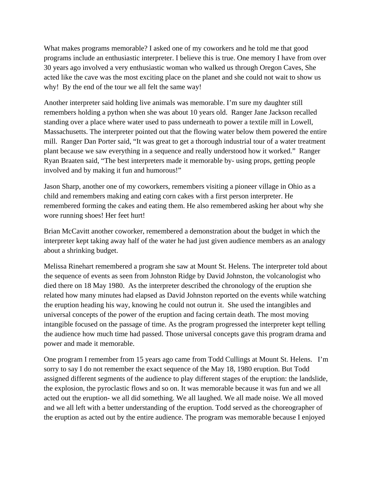What makes programs memorable? I asked one of my coworkers and he told me that good programs include an enthusiastic interpreter. I believe this is true. One memory I have from over 30 years ago involved a very enthusiastic woman who walked us through Oregon Caves, She acted like the cave was the most exciting place on the planet and she could not wait to show us why! By the end of the tour we all felt the same way!

Another interpreter said holding live animals was memorable. I'm sure my daughter still remembers holding a python when she was about 10 years old. Ranger Jane Jackson recalled standing over a place where water used to pass underneath to power a textile mill in Lowell, Massachusetts. The interpreter pointed out that the flowing water below them powered the entire mill. Ranger Dan Porter said, "It was great to get a thorough industrial tour of a water treatment plant because we saw everything in a sequence and really understood how it worked." Ranger Ryan Braaten said, "The best interpreters made it memorable by- using props, getting people involved and by making it fun and humorous!"

Jason Sharp, another one of my coworkers, remembers visiting a pioneer village in Ohio as a child and remembers making and eating corn cakes with a first person interpreter. He remembered forming the cakes and eating them. He also remembered asking her about why she wore running shoes! Her feet hurt!

Brian McCavitt another coworker, remembered a demonstration about the budget in which the interpreter kept taking away half of the water he had just given audience members as an analogy about a shrinking budget.

Melissa Rinehart remembered a program she saw at Mount St. Helens. The interpreter told about the sequence of events as seen from Johnston Ridge by David Johnston, the volcanologist who died there on 18 May 1980. As the interpreter described the chronology of the eruption she related how many minutes had elapsed as David Johnston reported on the events while watching the eruption heading his way, knowing he could not outrun it. She used the intangibles and universal concepts of the power of the eruption and facing certain death. The most moving intangible focused on the passage of time. As the program progressed the interpreter kept telling the audience how much time had passed. Those universal concepts gave this program drama and power and made it memorable.

One program I remember from 15 years ago came from Todd Cullings at Mount St. Helens. I'm sorry to say I do not remember the exact sequence of the May 18, 1980 eruption. But Todd assigned different segments of the audience to play different stages of the eruption: the landslide, the explosion, the pyroclastic flows and so on. It was memorable because it was fun and we all acted out the eruption- we all did something. We all laughed. We all made noise. We all moved and we all left with a better understanding of the eruption. Todd served as the choreographer of the eruption as acted out by the entire audience. The program was memorable because I enjoyed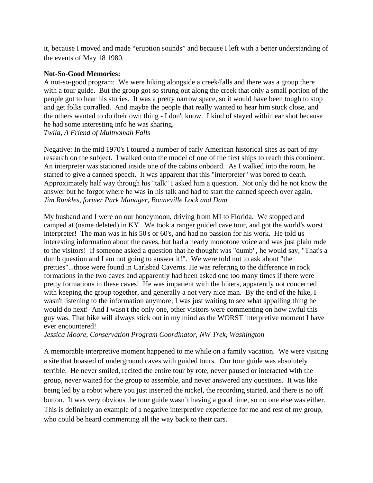it, because I moved and made "eruption sounds" and because I left with a better understanding of the events of May 18 1980.

# **Not-So-Good Memories:**

A not-so-good program: We were hiking alongside a creek/falls and there was a group there with a tour guide. But the group got so strung out along the creek that only a small portion of the people got to hear his stories. It was a pretty narrow space, so it would have been tough to stop and get folks corralled. And maybe the people that really wanted to hear him stuck close, and the others wanted to do their own thing - I don't know. I kind of stayed within ear shot because he had some interesting info he was sharing. *Twila, A Friend of Multnomah Falls* 

Negative: In the mid 1970's I toured a number of early American historical sites as part of my research on the subject. I walked onto the model of one of the first ships to reach this continent. An interpreter was stationed inside one of the cabins onboard. As I walked into the room, he started to give a canned speech. It was apparent that this "interpreter" was bored to death. Approximately half way through his "talk" I asked him a question. Not only did he not know the answer but he forgot where he was in his talk and had to start the canned speech over again. *Jim Runkles, former Park Manager, Bonneville Lock and Dam* 

My husband and I were on our honeymoon, driving from MI to Florida. We stopped and camped at (name deleted) in KY. We took a ranger guided cave tour, and got the world's worst interpreter! The man was in his 50's or 60's, and had no passion for his work. He told us interesting information about the caves, but had a nearly monotone voice and was just plain rude to the visitors! If someone asked a question that he thought was "dumb", he would say, "That's a dumb question and I am not going to answer it!". We were told not to ask about "the pretties"...those were found in Carlsbad Caverns. He was referring to the difference in rock formations in the two caves and apparently had been asked one too many times if there were pretty formations in these caves! He was impatient with the hikers, apparently not concerned with keeping the group together, and generally a not very nice man. By the end of the hike, I wasn't listening to the information anymore; I was just waiting to see what appalling thing he would do next! And I wasn't the only one, other visitors were commenting on how awful this guy was. That hike will always stick out in my mind as the WORST interpretive moment I have ever encountered!

*Jessica Moore, Conservation Program Coordinator, NW Trek, Washington* 

A memorable interpretive moment happened to me while on a family vacation. We were visiting a site that boasted of underground caves with guided tours. Our tour guide was absolutely terrible. He never smiled, recited the entire tour by rote, never paused or interacted with the group, never waited for the group to assemble, and never answered any questions. It was like being led by a robot where you just inserted the nickel, the recording started, and there is no off button. It was very obvious the tour guide wasn't having a good time, so no one else was either. This is definitely an example of a negative interpretive experience for me and rest of my group, who could be heard commenting all the way back to their cars.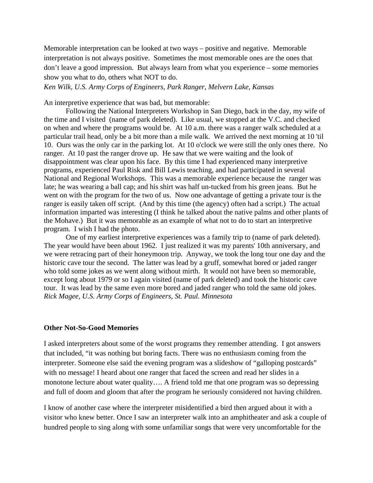Memorable interpretation can be looked at two ways – positive and negative. Memorable interpretation is not always positive. Sometimes the most memorable ones are the ones that don't leave a good impression. But always learn from what you experience – some memories show you what to do, others what NOT to do.

*Ken Wilk, U.S. Army Corps of Engineers, Park Ranger, Melvern Lake, Kansas* 

An interpretive experience that was bad, but memorable:

 Following the National Interpreters Workshop in San Diego, back in the day, my wife of the time and I visited (name of park deleted). Like usual, we stopped at the V.C. and checked on when and where the programs would be. At 10 a.m. there was a ranger walk scheduled at a particular trail head, only be a bit more than a mile walk. We arrived the next morning at 10 'til 10. Ours was the only car in the parking lot. At 10 o'clock we were still the only ones there. No ranger. At 10 past the ranger drove up. He saw that we were waiting and the look of disappointment was clear upon his face. By this time I had experienced many interpretive programs, experienced Paul Risk and Bill Lewis teaching, and had participated in several National and Regional Workshops. This was a memorable experience because the ranger was late; he was wearing a ball cap; and his shirt was half un-tucked from his green jeans. But he went on with the program for the two of us. Now one advantage of getting a private tour is the ranger is easily taken off script. (And by this time (the agency) often had a script.) The actual information imparted was interesting (I think he talked about the native palms and other plants of the Mohave.) But it was memorable as an example of what not to do to start an interpretive program. I wish I had the photo.

 One of my earliest interpretive experiences was a family trip to (name of park deleted). The year would have been about 1962. I just realized it was my parents' 10th anniversary, and we were retracing part of their honeymoon trip. Anyway, we took the long tour one day and the historic cave tour the second. The latter was lead by a gruff, somewhat bored or jaded ranger who told some jokes as we went along without mirth. It would not have been so memorable, except long about 1979 or so I again visited (name of park deleted) and took the historic cave tour. It was lead by the same even more bored and jaded ranger who told the same old jokes. *Rick Magee, U.S. Army Corps of Engineers, St. Paul. Minnesota* 

#### **Other Not-So-Good Memories**

I asked interpreters about some of the worst programs they remember attending. I got answers that included, "it was nothing but boring facts. There was no enthusiasm coming from the interpreter. Someone else said the evening program was a slideshow of "galloping postcards" with no message! I heard about one ranger that faced the screen and read her slides in a monotone lecture about water quality…. A friend told me that one program was so depressing and full of doom and gloom that after the program he seriously considered not having children.

I know of another case where the interpreter misidentified a bird then argued about it with a visitor who knew better. Once I saw an interpreter walk into an amphitheater and ask a couple of hundred people to sing along with some unfamiliar songs that were very uncomfortable for the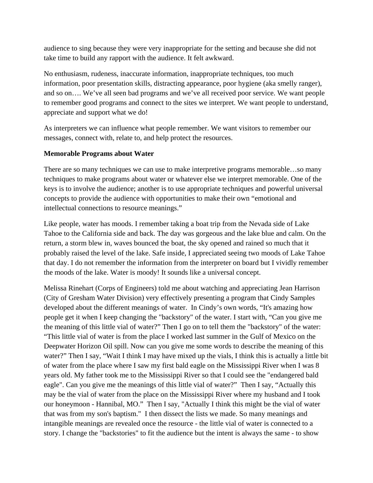audience to sing because they were very inappropriate for the setting and because she did not take time to build any rapport with the audience. It felt awkward.

No enthusiasm, rudeness, inaccurate information, inappropriate techniques, too much information, poor presentation skills, distracting appearance, poor hygiene (aka smelly ranger), and so on…. We've all seen bad programs and we've all received poor service. We want people to remember good programs and connect to the sites we interpret. We want people to understand, appreciate and support what we do!

As interpreters we can influence what people remember. We want visitors to remember our messages, connect with, relate to, and help protect the resources.

# **Memorable Programs about Water**

There are so many techniques we can use to make interpretive programs memorable…so many techniques to make programs about water or whatever else we interpret memorable. One of the keys is to involve the audience; another is to use appropriate techniques and powerful universal concepts to provide the audience with opportunities to make their own "emotional and intellectual connections to resource meanings."

Like people, water has moods. I remember taking a boat trip from the Nevada side of Lake Tahoe to the California side and back. The day was gorgeous and the lake blue and calm. On the return, a storm blew in, waves bounced the boat, the sky opened and rained so much that it probably raised the level of the lake. Safe inside, I appreciated seeing two moods of Lake Tahoe that day. I do not remember the information from the interpreter on board but I vividly remember the moods of the lake. Water is moody! It sounds like a universal concept.

Melissa Rinehart (Corps of Engineers) told me about watching and appreciating Jean Harrison (City of Gresham Water Division) very effectively presenting a program that Cindy Samples developed about the different meanings of water. In Cindy's own words, "It's amazing how people get it when I keep changing the "backstory" of the water. I start with, "Can you give me the meaning of this little vial of water?" Then I go on to tell them the "backstory" of the water: "This little vial of water is from the place I worked last summer in the Gulf of Mexico on the Deepwater Horizon Oil spill. Now can you give me some words to describe the meaning of this water?" Then I say, "Wait I think I may have mixed up the vials, I think this is actually a little bit of water from the place where I saw my first bald eagle on the Mississippi River when I was 8 years old. My father took me to the Mississippi River so that I could see the "endangered bald eagle". Can you give me the meanings of this little vial of water?" Then I say, "Actually this may be the vial of water from the place on the Mississippi River where my husband and I took our honeymoon - Hannibal, MO." Then I say, "Actually I think this might be the vial of water that was from my son's baptism." I then dissect the lists we made. So many meanings and intangible meanings are revealed once the resource - the little vial of water is connected to a story. I change the "backstories" to fit the audience but the intent is always the same - to show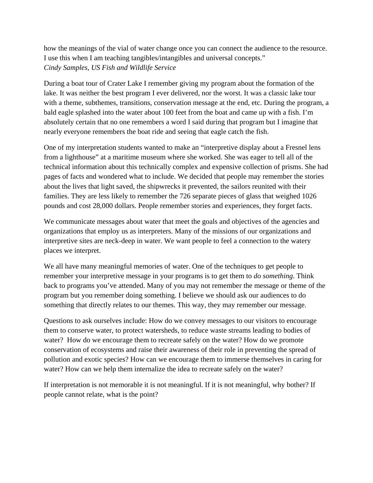how the meanings of the vial of water change once you can connect the audience to the resource. I use this when I am teaching tangibles/intangibles and universal concepts." *Cindy Samples, US Fish and Wildlife Service*

During a boat tour of Crater Lake I remember giving my program about the formation of the lake. It was neither the best program I ever delivered, nor the worst. It was a classic lake tour with a theme, subthemes, transitions, conservation message at the end, etc. During the program, a bald eagle splashed into the water about 100 feet from the boat and came up with a fish. I'm absolutely certain that no one remembers a word I said during that program but I imagine that nearly everyone remembers the boat ride and seeing that eagle catch the fish.

One of my interpretation students wanted to make an "interpretive display about a Fresnel lens from a lighthouse" at a maritime museum where she worked. She was eager to tell all of the technical information about this technically complex and expensive collection of prisms. She had pages of facts and wondered what to include. We decided that people may remember the stories about the lives that light saved, the shipwrecks it prevented, the sailors reunited with their families. They are less likely to remember the 726 separate pieces of glass that weighed 1026 pounds and cost 28,000 dollars. People remember stories and experiences, they forget facts.

We communicate messages about water that meet the goals and objectives of the agencies and organizations that employ us as interpreters. Many of the missions of our organizations and interpretive sites are neck-deep in water. We want people to feel a connection to the watery places we interpret.

We all have many meaningful memories of water. One of the techniques to get people to remember your interpretive message in your programs is to get them to *do something*. Think back to programs you've attended. Many of you may not remember the message or theme of the program but you remember doing something. I believe we should ask our audiences to do something that directly relates to our themes. This way, they may remember our message.

Questions to ask ourselves include: How do we convey messages to our visitors to encourage them to conserve water, to protect watersheds, to reduce waste streams leading to bodies of water? How do we encourage them to recreate safely on the water? How do we promote conservation of ecosystems and raise their awareness of their role in preventing the spread of pollution and exotic species? How can we encourage them to immerse themselves in caring for water? How can we help them internalize the idea to recreate safely on the water?

If interpretation is not memorable it is not meaningful. If it is not meaningful, why bother? If people cannot relate, what is the point?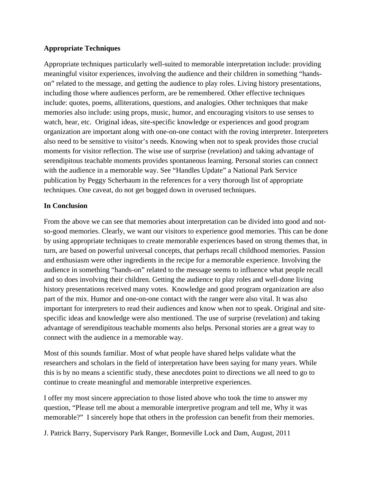# **Appropriate Techniques**

Appropriate techniques particularly well-suited to memorable interpretation include: providing meaningful visitor experiences, involving the audience and their children in something "handson" related to the message, and getting the audience to play roles. Living history presentations, including those where audiences perform, are be remembered. Other effective techniques include: quotes, poems, alliterations, questions, and analogies. Other techniques that make memories also include: using props, music, humor, and encouraging visitors to use senses to watch, hear, etc. Original ideas, site-specific knowledge or experiences and good program organization are important along with one-on-one contact with the roving interpreter. Interpreters also need to be sensitive to visitor's needs. Knowing when not to speak provides those crucial moments for visitor reflection. The wise use of surprise (revelation) and taking advantage of serendipitous teachable moments provides spontaneous learning. Personal stories can connect with the audience in a memorable way. See "Handles Update" a National Park Service publication by Peggy Scherbaum in the references for a very thorough list of appropriate techniques. One caveat, do not get bogged down in overused techniques.

# **In Conclusion**

From the above we can see that memories about interpretation can be divided into good and notso-good memories. Clearly, we want our visitors to experience good memories. This can be done by using appropriate techniques to create memorable experiences based on strong themes that, in turn, are based on powerful universal concepts, that perhaps recall childhood memories. Passion and enthusiasm were other ingredients in the recipe for a memorable experience. Involving the audience in something "hands-on" related to the message seems to influence what people recall and so does involving their children. Getting the audience to play roles and well-done living history presentations received many votes. Knowledge and good program organization are also part of the mix. Humor and one-on-one contact with the ranger were also vital. It was also important for interpreters to read their audiences and know when *not* to speak. Original and sitespecific ideas and knowledge were also mentioned. The use of surprise (revelation) and taking advantage of serendipitous teachable moments also helps. Personal stories are a great way to connect with the audience in a memorable way.

Most of this sounds familiar. Most of what people have shared helps validate what the researchers and scholars in the field of interpretation have been saying for many years. While this is by no means a scientific study, these anecdotes point to directions we all need to go to continue to create meaningful and memorable interpretive experiences.

I offer my most sincere appreciation to those listed above who took the time to answer my question, "Please tell me about a memorable interpretive program and tell me, Why it was memorable?" I sincerely hope that others in the profession can benefit from their memories.

J. Patrick Barry, Supervisory Park Ranger, Bonneville Lock and Dam, August, 2011